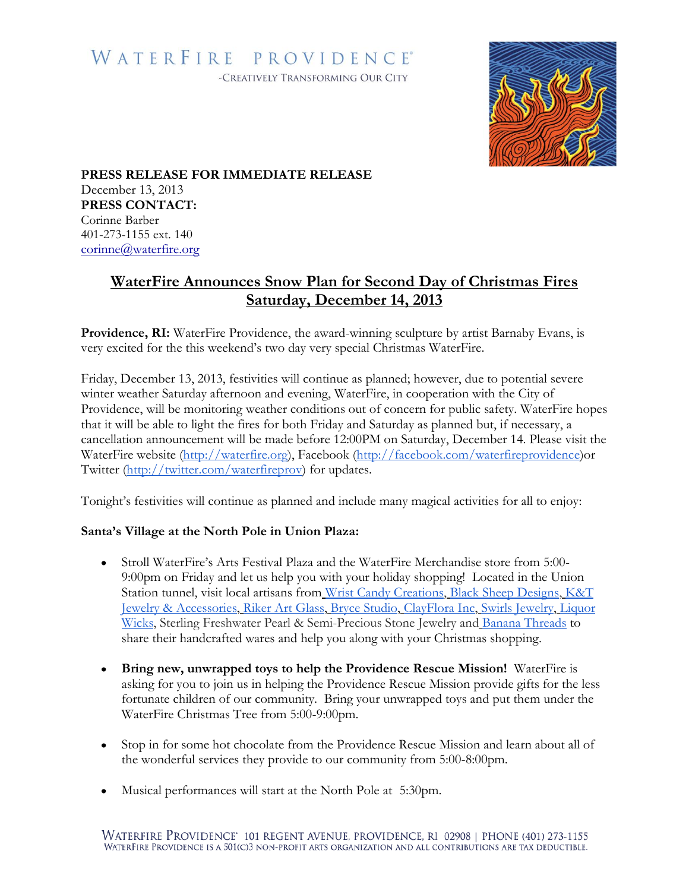## WATERFIRE PROVIDENCE® -CREATIVELY TRANSFORMING OUR CITY



**PRESS RELEASE FOR IMMEDIATE RELEASE** December 13, 2013 **PRESS CONTACT:** Corinne Barber 401-273-1155 ext. 140 corinne@waterfire.org

## **WaterFire Announces Snow Plan for Second Day of Christmas Fires Saturday, December 14, 2013**

**Providence, RI:** WaterFire Providence, the award-winning sculpture by artist Barnaby Evans, is very excited for the this weekend's two day very special Christmas WaterFire.

Friday, December 13, 2013, festivities will continue as planned; however, due to potential severe winter weather Saturday afternoon and evening, WaterFire, in cooperation with the City of Providence, will be monitoring weather conditions out of concern for public safety. WaterFire hopes that it will be able to light the fires for both Friday and Saturday as planned but, if necessary, a cancellation announcement will be made before 12:00PM on Saturday, December 14. Please visit the WaterFire website [\(http://waterfire.org\)](http://waterfire.org/), Facebook [\(http://facebook.com/waterfireprovidence\)](http://facebook.com/waterfireprovidence)or Twitter [\(http://twitter.com/waterfireprov\)](http://twitter.com/waterfireprov) for updates.

Tonight's festivities will continue as planned and include many magical activities for all to enjoy:

## **Santa's Village at the North Pole in Union Plaza:**

- Stroll WaterFire's Arts Festival Plaza and the WaterFire Merchandise store from 5:00- 9:00pm on Friday and let us help you with your holiday shopping! Located in the Union Station tunnel, visit local artisans from [Wrist Candy Creations,](http://www.wristcandycreations.etsy.com/) [Black Sheep Designs,](http://blacksheepdesigns.etsy.com/) [K&T](http://www.pinswithpersonality.etsy.com/)  [Jewelry & Accessories,](http://www.pinswithpersonality.etsy.com/) [Riker Art Glass,](https://www.facebook.com/RikerArtGlass) [Bryce Studio,](http://www.mikebryceart.com/) [ClayFlora Inc,](http://clayflora.com/) [Swirls Jewelry,](http://www.swirlsjewelry.com/) [Liquor](http://www.etsy.com/shops/liquorwicks)  [Wicks,](http://www.etsy.com/shops/liquorwicks) Sterling Freshwater Pearl & Semi-Precious Stone Jewelry and [Banana Threads](http://www.etsy.com/shop/BananaThreads) to share their handcrafted wares and help you along with your Christmas shopping.
- **Bring new, unwrapped toys to help the Providence Rescue Mission!** WaterFire is asking for you to join us in helping the Providence Rescue Mission provide gifts for the less fortunate children of our community. Bring your unwrapped toys and put them under the WaterFire Christmas Tree from 5:00-9:00pm.
- Stop in for some hot chocolate from the Providence Rescue Mission and learn about all of the wonderful services they provide to our community from 5:00-8:00pm.
- Musical performances will start at the North Pole at 5:30pm.